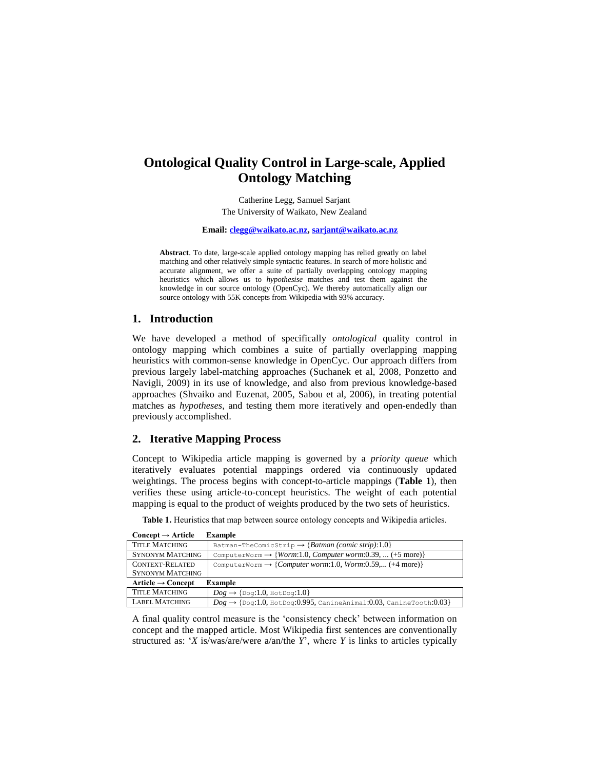# **Ontological Quality Control in Large-scale, Applied Ontology Matching**

Catherine Legg, Samuel Sarjant The University of Waikato, New Zealand

**Email[: clegg@waikato.ac.nz,](mailto:clegg@waikato.ac.nz) [sarjant@waikato.ac.nz](mailto:sarjant@waikato.ac.nz)**

**Abstract**. To date, large-scale applied ontology mapping has relied greatly on label matching and other relatively simple syntactic features. In search of more holistic and accurate alignment, we offer a suite of partially overlapping ontology mapping heuristics which allows us to *hypothesise* matches and test them against the knowledge in our source ontology (OpenCyc). We thereby automatically align our source ontology with 55K concepts from Wikipedia with 93% accuracy.

## **1. Introduction**

We have developed a method of specifically *ontological* quality control in ontology mapping which combines a suite of partially overlapping mapping heuristics with common-sense knowledge in OpenCyc. Our approach differs from previous largely label-matching approaches (Suchanek et al, 2008, Ponzetto and Navigli, 2009) in its use of knowledge, and also from previous knowledge-based approaches (Shvaiko and Euzenat, 2005, Sabou et al, 2006), in treating potential matches as *hypotheses*, and testing them more iteratively and open-endedly than previously accomplished.

# **2. Iterative Mapping Process**

Concept to Wikipedia article mapping is governed by a *priority queue* which iteratively evaluates potential mappings ordered via continuously updated weightings. The process begins with concept-to-article mappings (**Table 1**), then verifies these using article-to-concept heuristics. The weight of each potential mapping is equal to the product of weights produced by the two sets of heuristics.

| Table 1. Heuristics that map between source ontology concepts and Wikipedia articles. |  |  |  |
|---------------------------------------------------------------------------------------|--|--|--|
|---------------------------------------------------------------------------------------|--|--|--|

| $Concept \rightarrow Article$<br><b>Example</b> |                                                                                        |  |  |
|-------------------------------------------------|----------------------------------------------------------------------------------------|--|--|
| <b>TITLE MATCHING</b>                           | Batman-TheComicStrip $\rightarrow$ {Batman (comic strip):1.0}                          |  |  |
| <b>SYNONYM MATCHING</b>                         | ComputerWorm $\rightarrow$ { <i>Worm</i> :1.0, <i>Computer worm</i> :0.39,  (+5 more)} |  |  |
| CONTEXT-RELATED                                 | ComputerWorm $\rightarrow$ {Computer worm:1.0, Worm:0.59, (+4 more)}                   |  |  |
| <b>SYNONYM MATCHING</b>                         |                                                                                        |  |  |
| Article $\rightarrow$ Concept<br>Example        |                                                                                        |  |  |
| <b>TITLE MATCHING</b>                           | $Dog \rightarrow$ {Dog:1.0, HotDog:1.0}                                                |  |  |
| <b>LABEL MATCHING</b>                           | $Dog \rightarrow$ {Dog:1.0, HotDog:0.995, CanineAnimal:0.03, CanineTooth:0.03}         |  |  |

LABEL MATCHING  $\bigcup_{Dog} \rightarrow \{\text{Dog}: 1.0, \text{HotDog}: 0.995, \text{CanineAnimal}: 0.03, \text{CanineTooth}: 0.03\}$ A final quality control measure is the 'consistency check' between information on

concept and the mapped article. Most Wikipedia first sentences are conventionally structured as: '*X* is/was/are/were a/an/the *Y*', where *Y* is links to articles typically